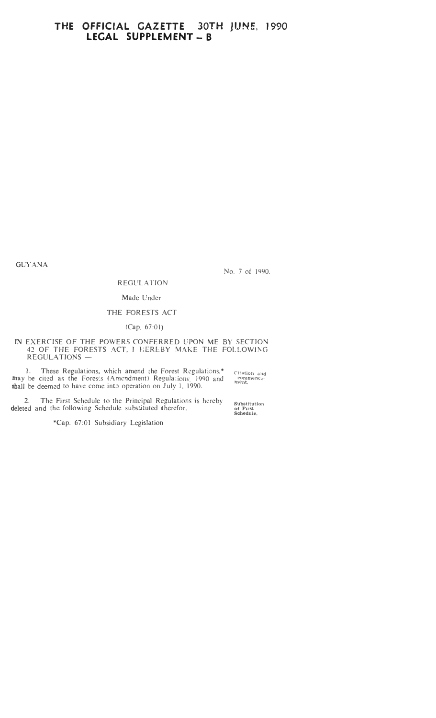### **THE OFFICIAL GAZETTE 30TH JUNE, 1990**  LEGAL SUPPLEMENT - B

GUYANA

No. 7 of 1990.

Substitution **of First**  Schedule.

REGULATION Made Under

#### THE FORESTS ACT

#### (Cap. 67:01)

#### IN EXERCISE OF THE POWERS CONFERRED UPON ME BY SECTION 42 OF THE FORESTS ACT, J EEREBY MAKE THE FOLLOWJNG REGULATIONS -

1. These Regulations, which amend the Forest Regulations.\* may be cited as the Fores: s (Amendment) Regulations, 1990 and shall be deemed to have come into operation on July 1, 1990. Citation and<br>| commenco-<br>ment.

2. The First Schedule to the Principal Regulations is hereby deleted and the following Schedule substituted therefor.

\*Cap. 67:01 Subsidiary Legislation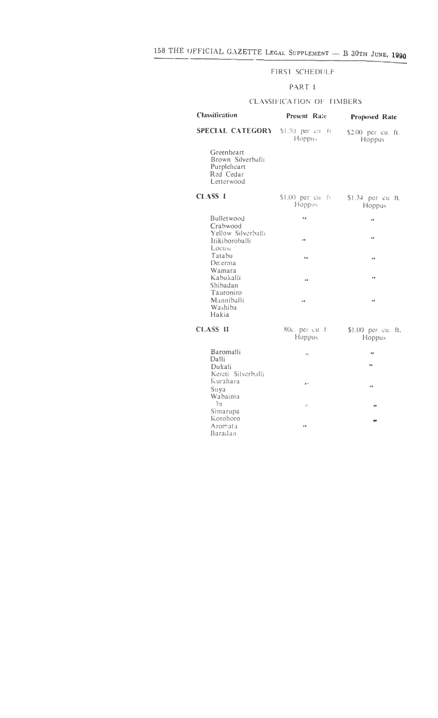#### FIRST SCHEDULF

#### PART I

#### CLASSIFICATION OF TIMBERS

| <b>Classification</b>                                                     | <b>Present Rate</b>         | Proposed Rate                |  |  |  |
|---------------------------------------------------------------------------|-----------------------------|------------------------------|--|--|--|
| SPECIAL CATEGORY \$1.50 per cu ft                                         | Hoppus                      | \$2.00 per cu. ft.<br>Hoppus |  |  |  |
| Greenheart<br>Brown Silverballi<br>Purpleheart<br>Red Cedar<br>Letterwood |                             |                              |  |  |  |
| <b>CLASS I</b>                                                            | $$1.00$ per cu fu<br>Hoppus | \$1.34 per cu ft.<br>Hoppus  |  |  |  |
| <b>Bulletwood</b>                                                         | o s                         | o a                          |  |  |  |
| Crabwood<br>Yellow Silverballi<br>Itikiboroballi<br>Locust                | é di                        | o di                         |  |  |  |
| Tatabu<br>Determa                                                         | 0p                          | o a                          |  |  |  |
| Wamara<br>Kabukalli<br>Shibadan<br>Tauroniro                              | o a                         | o a                          |  |  |  |
| Manniballi<br>Washiba<br>Hakia                                            | o a                         | e o                          |  |  |  |
| <b>CLASS II</b>                                                           | 80c. per cu fi<br>Hoppus    | \$1.00 per cu. ft.<br>Hoppus |  |  |  |
| Baromalli                                                                 | s s                         | ٥ø                           |  |  |  |
| Dalli<br>Dukali                                                           |                             | o a                          |  |  |  |
| Kereti Silverballi<br>Kurahara<br>Suya                                    | ø١                          | o a                          |  |  |  |
| Wabaima<br> u <br>Simarupa                                                | H                           | 99                           |  |  |  |
| Korohoro<br>Aromata<br>Baradan                                            | e di                        | and .                        |  |  |  |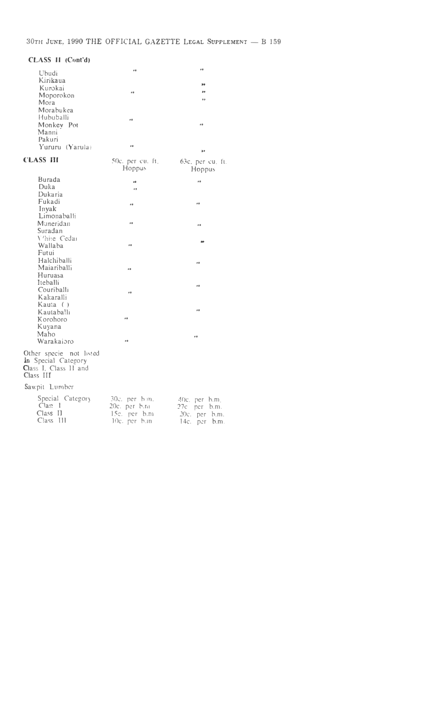#### **CLASS II (Cont'd)**

| EASS II (Cont'd) |      |     |
|------------------|------|-----|
| Ubudi            | 0.0  | 0.0 |
| Kirikaua         |      |     |
| Kurokai          |      | æв  |
| Moporokon        | p S  | 99  |
| Mora             |      | o o |
| Morabukea        |      |     |
| Hububalli        | e di |     |
| Monkey Pot       |      | 0.8 |
| Manni            |      |     |
| Pakuri           |      |     |
| Yururu (Yarula)  | o a  | p p |

| <b>CLASS III</b>                                                                     | 50c. per cu. ft.<br>Hoppus                                        | 63c, per cu. ft.<br>Hoppus                                                         |
|--------------------------------------------------------------------------------------|-------------------------------------------------------------------|------------------------------------------------------------------------------------|
| <b>Burada</b><br>Duka<br>Dukaria                                                     | o di<br>$^{\circ}$                                                | e a                                                                                |
| Fukadi<br>Inyak<br>Limonaballi                                                       | e a                                                               | 0.0                                                                                |
| Muneridan<br>Suradan                                                                 | e di                                                              | o a                                                                                |
| V'hite Cedar<br>Wallaba<br>Futui                                                     | o di                                                              |                                                                                    |
| Halchiballi<br>Maiariballi<br>Huruasa                                                | 98                                                                | o a                                                                                |
| Iteballi<br>Couriballi<br>Kakaralli<br>Kauta ()                                      | o a                                                               | o a                                                                                |
| Kautaballi<br>Korohoro<br>Kuyana                                                     | e a                                                               | 98                                                                                 |
| Maho<br>Warakaioro                                                                   | e a                                                               | o a                                                                                |
| Other specie not listed<br>in Special Category<br>Class I. Class II and<br>Class III |                                                                   |                                                                                    |
| Sawpit Lumber                                                                        |                                                                   |                                                                                    |
| Special Category<br>Clas: 1<br>Class II<br>$Class$ $III$                             | 30c. per hm.<br>20c. per b.m<br>$15c$ . per $b.m$<br>10c. per b.m | $40c$ , per $h.m$ .<br>27c per b.m.<br>$20c$ . $per$<br>b.m.<br>$14c.$ per<br>b.m. |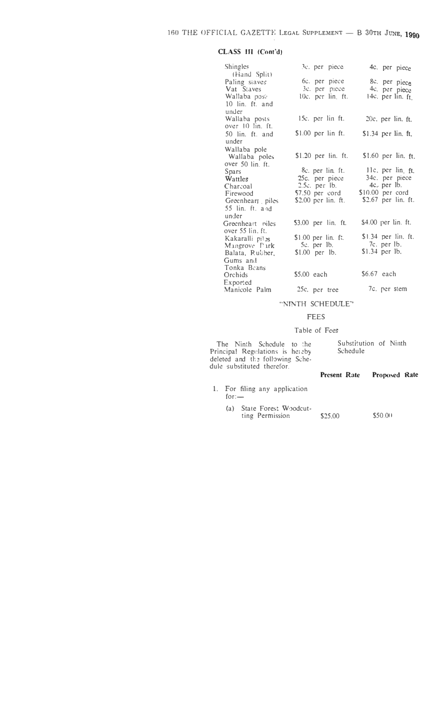#### CLASS III (Cont'd)

| Shingles                      | 3c. per piece        | 4c. per piece         |
|-------------------------------|----------------------|-----------------------|
| (Hand Split)<br>Paling staves | 6c. per piece        | 8c. per piece         |
| Vat Staves                    | 3c. per piece        | 4c. per piece         |
| Wallaba post                  | 10c. per lin. ft.    | 14c. per lin. ft.     |
| 10 lin. ft. and               |                      |                       |
| under                         |                      |                       |
| Wallaba posts                 | 15c. per lin ft.     | $20c$ , per lin. ft.  |
| over 10 lin. ft.              |                      |                       |
| 50 lin. ft. and               | $$1.00$ per lin ft.  | \$1.34 per lin. ft.   |
| under                         |                      |                       |
| Wallaba pole                  |                      |                       |
| Wallaba poles                 | $$1.20$ per lin. ft. | \$1.60 per $lin.$ ft. |
| over 50 lin. ft.              |                      |                       |
| Spars                         | 8c. per lin. ft.     | 11c. per lin. ft.     |
| Wattles                       | 25c. per piece       | 34c. per piece        |
| Charcoal                      | $2.5c$ . per $1b$ .  | 4c. per lb.           |
| Firewood                      | \$7.50 per cord      | $$10.00$ per cord     |
| Greenheart piles              | \$2.00 per lin. ft.  | \$2.67 per lin. ft.   |
| 55 lin. ft. and               |                      |                       |
| under                         |                      |                       |
| Greenheart niles              | \$3.00 per lin. ft.  | \$4.00 per lin. ft.   |
| over 55 lin. ft.              |                      |                       |
| Kakaralli pil:s               | \$1.00 per lin. ft.  | \$1.34 per lin. ft.   |
| Mangrove Park                 | $5c.$ per $1b.$      | 7c. per lb.           |
| Balata, Rubber,               | $$1.00$ per lb.      | $$1.34$ per lb.       |
| Gums and                      |                      |                       |
| Tonka Beans                   |                      |                       |
| Orchids                       | \$5.00 each          | $$6.67$ each          |
| Exported                      |                      |                       |
| Manicole Palm                 | 25c. per tree        | 7c. per stem          |

#### "NINTH SCHEDULE"

#### **FEES**

#### Table of Fees

The Ninth Schedule to the<br>Principal Regulations is hereby<br>deleted and the following Sche-<br>dule substituted therefor.

| Substitution of Ninth<br>Schedule |  |
|-----------------------------------|--|
|                                   |  |

#### Present Rate Proposed Rate

- 1. For filing any application  $for -$ 
	- (a) State Forest Woodcut-\$50.00 ting Permission \$25.00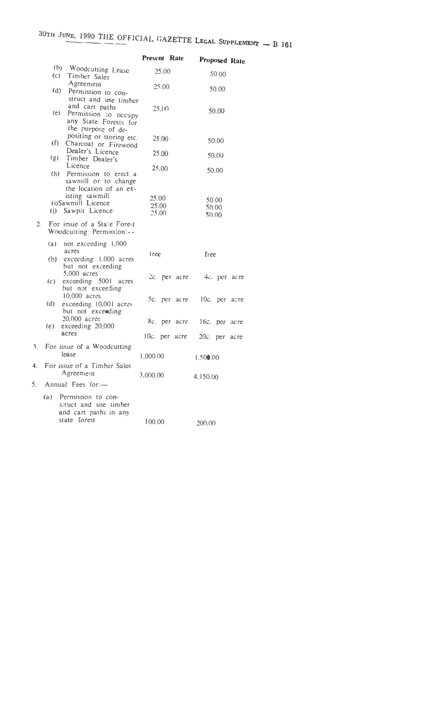# 30TH JUNE, 1990 THE OFFICIAL GAZETTE LEGAL SUPPLEMENT - **B** 161

|         |     |                                                                                              | <b>Present Rate</b>     |       |                  |                  |                | <b>Proposed Rate</b> |
|---------|-----|----------------------------------------------------------------------------------------------|-------------------------|-------|------------------|------------------|----------------|----------------------|
|         |     | (b) Woodcutting Lease<br>(c) Timber Sales                                                    |                         | 25.00 |                  |                  | 50.00          |                      |
|         |     | Agreement<br>(d) Permission to con-<br>struct and use timber                                 |                         | 25.00 |                  |                  | 50.00          |                      |
|         |     | and cart paths<br>(e)<br>Permission to occupy<br>any State Forests for<br>the purpose of de- |                         | 25.00 |                  |                  | 50.00          |                      |
|         |     | positing or storing etc.<br>(f)<br>Charcoal or Firewood                                      |                         | 25.00 |                  |                  | 50.00          |                      |
|         | (g) | Dealer's Licence<br>Timber Dealer's                                                          |                         | 25,00 |                  |                  | 50.00          |                      |
|         |     | Licence<br>(h) Permission to erect a<br>sawmill or to change<br>the location of an ex-       |                         | 25,00 |                  |                  | 50.00          |                      |
|         | (i) | isting sawmill<br>(i)Sawmill Licence<br>Sawpit Licence                                       | 25.00<br>25.00<br>25.00 |       |                  | 50.00            | 50.00<br>50.00 |                      |
| $2^{+}$ |     | For issue of a State Forest<br>Woodcutting Permission:--                                     |                         |       |                  |                  |                |                      |
|         | (a) | not exceeding 1,000<br>acres<br>(b) exceeding 1.000 acres<br>but not exceeding               | free.                   |       |                  | fiee             |                |                      |
|         | (C) | $5,000$ acres<br>exceeding 5001 acres<br>but not exceeding                                   |                         |       | $2c.$ per $acre$ |                  |                | 4c. per acre         |
|         | (d) | 10,000 acres<br>exceeding 10,001 acres<br>but not exceeding                                  |                         |       | 5c. per acre     |                  |                | 10c. per acre        |
|         | (e) | 20,000 acres<br>exceeding 20,000                                                             |                         |       | 8c, per acre     | 16c. per acre    |                |                      |
|         |     | acres                                                                                        |                         |       | $10c$ , per acre | $20c$ , per acre |                |                      |
| 3.      |     | For issue of a Woodcutting<br>lease                                                          | 1,000.00                |       |                  | 1.500.00         |                |                      |
|         |     | 4. For issue of a Timber Sales<br>Agreement                                                  | 3,000.00                |       |                  | 4,150.00         |                |                      |
| 5.      |     | Annual Fees for:-                                                                            |                         |       |                  |                  |                |                      |
|         | (a) | Permission to con-<br>struct and use timber<br>and cart paths in any<br>state forest         | 100.00                  |       |                  | 200.00           |                |                      |